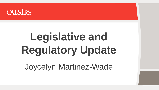

# **Legislative and Regulatory Update** Joycelyn Martinez-Wade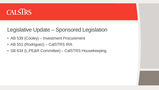

#### Legislative Update – Sponsored Legislation

- AB 539 (Cooley) Investment Procurement
- AB 551 (Rodriguez) CalSTRS IRA
- SB 634 (L, PE&R Committee) CalSTRS Housekeeping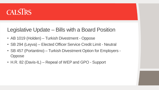

#### Legislative Update – Bills with a Board Position

- AB 1019 (Holden) Turkish Divestment Oppose
- SB 294 (Leyva) Elected Officer Service Credit Limit Neutral
- SB 457 (Portantino) Turkish Divestment Option for Employers **Oppose**
- H.R. 82 (Davis-IL) Repeal of WEP and GPO Support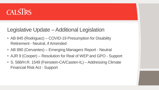## **CALSIRS**

### Legislative Update – Additional Legislation

- AB 845 (Rodriguez) COVID-19 Presumption for Disability Retirement - Neutral, if Amended
- AB 890 (Cervantes) Emerging Managers Report Neutral
- AJR 9 (Cooper) Resolution for Real of WEP and GPO Support
- S. 588/H.R. 1549 (Feinstein-CA/Casten-IL) Addressing Climate Financial Risk Act - Support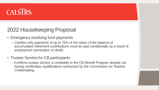# **CALSIRS**

### 2022 Housekeeping Proposal

- Emergency revolving fund payments
	- Clarifies only payments of up to 75% of the return of the balance of accumulated retirement contributions must be paid conditionally as a result of employment termination or death.
- Trustee Service for CB participants
	- Confirms trustee service is creditable to the CB Benefit Program despite not having certification qualifications authorized by the Commission on Teacher Credentialing.